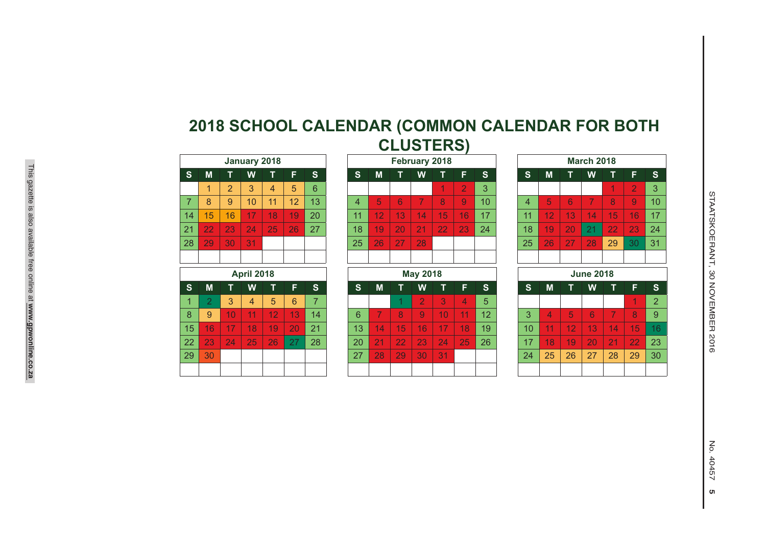|                         |                |    |    | <b>March 2018</b> |                |                |                |
|-------------------------|----------------|----|----|-------------------|----------------|----------------|----------------|
| S                       | S              | M  | т  | W                 | т              | F              | $\mathbf{s}$   |
| $\overline{\mathbf{3}}$ |                |    |    |                   | 1              | $\overline{2}$ | 3              |
| $\overline{0}$          | $\overline{4}$ | 5  | 6  | 7                 | 8              | 9              | 10             |
| 17                      | 11             | 12 | 13 | 14                | 15             | 16             | 17             |
| 24                      | 18             | 19 | 20 | 21                | 22             | 23             | 24             |
|                         | 25             | 26 | 27 | 28                | 29             | 30             | 31             |
|                         |                |    |    |                   |                |                |                |
|                         |                |    |    | <b>June 2018</b>  |                |                |                |
| S                       | $\mathbf{s}$   | M  | т  | W                 | т              | F              | $\mathbf{s}$   |
| 5                       |                |    |    |                   |                | 1              | $\overline{2}$ |
| 12                      | 3              | 4  | 5  | 6                 | $\overline{7}$ | 8              | 9              |
| 19                      | 10             | 11 | 12 | 13                | 14             | 15             | 16             |
| 26                      | 17             | 18 | 19 | 20                | 21             | 22             | 23             |
|                         | 24             | 25 | 26 | 27                | 28             | 29             | 30             |
|                         |                |    |    |                   |                |                |                |

## **2018 SCHOOL CALENDAR (COMMON CALENDAR FOR BOTH CLUSTERS)**

|                |                 |    | January 2018 |    |    |              |    |    |    | February 2018 |                      |                |     |    |    |    | <b>March 2018</b>        |                 |                |  |
|----------------|-----------------|----|--------------|----|----|--------------|----|----|----|---------------|----------------------|----------------|-----|----|----|----|--------------------------|-----------------|----------------|--|
| 'S             | М               |    | W            |    | F  | <sub>S</sub> | S  | M  |    | W             |                      | F              | 'S. | S  | М  |    | W                        |                 | F              |  |
|                |                 | ာ  | 3            | 4  | 5  | 6            |    |    |    |               | $\blacktriangleleft$ | $\overline{2}$ | 3   |    |    |    |                          |                 |                |  |
| $\overline{7}$ | 8               | 9  | 10           | 11 | 12 | 13           | 4  | 5  | 6  |               | 8                    | 9              | 10  | 4  | 5  | 6  | $\overline{\phantom{a}}$ | 8               | $\overline{9}$ |  |
| 14             | 15 <sub>1</sub> | 16 | 17           | 18 | 19 | 20           | 11 | 12 | 13 | 14            | 15                   | 16             | 17  | 11 | 12 | 13 | 14                       | 15 <sup>1</sup> | 16             |  |
| 21             | 22              | 23 | 24           | 25 | 26 | 27           | 18 | 19 | 20 | 21            | 22                   | 23             | 24  | 18 | 19 | 20 | 21                       | 22              | 23             |  |
| 28             | 29              | 30 | 31           |    |    |              | 25 | 26 | 27 | 28            |                      |                |     | 25 | 26 | 27 | 28                       | 29              | 30             |  |
|                |                 |    |              |    |    |              |    |    |    |               |                      |                |     |    |    |    |                          |                 |                |  |
|                |                 |    |              |    |    |              |    |    |    |               |                      |                |     |    |    |    |                          |                 |                |  |

| <b>April 2018</b> |                |    |    |    |    |    |  |  |  |  |  |
|-------------------|----------------|----|----|----|----|----|--|--|--|--|--|
| $\mathbf{s}$      | M              | Т  | W  | h  | F  | S  |  |  |  |  |  |
| 1                 | $\overline{2}$ | 3  | 4  | 5  | 6  | 7  |  |  |  |  |  |
| 8                 | 9              | 10 | 11 | 12 | 13 | 14 |  |  |  |  |  |
| 15                | 16             | 17 | 18 | 19 | 20 | 21 |  |  |  |  |  |
| 22                | 23             | 24 | 25 | 26 | 27 | 28 |  |  |  |  |  |
| 29                | 30             |    |    |    |    |    |  |  |  |  |  |
|                   |                |    |    |    |    |    |  |  |  |  |  |

 $\overline{ }$ 

|                | January 2018 |                |    |    |    |    |              | February 2018 |                 |                |    |                |    |    | <b>March 2018</b> |             |
|----------------|--------------|----------------|----|----|----|----|--------------|---------------|-----------------|----------------|----|----------------|----|----|-------------------|-------------|
|                | W            |                | F  | S  | S  | M  |              | W             |                 | F              | S. | 'S.            | M  |    | W                 | т           |
| 2              | 3            | $\overline{4}$ | 5  | 6  |    |    |              |               | 1               | $\overline{2}$ | 3  |                |    |    |                   |             |
| $\overline{9}$ | 10           | 11             | 12 | 13 | 4  | 5  | 6            |               | 8               | 9              | 10 | $\overline{4}$ | 5  | 6  | 7                 | $\mathsf R$ |
| 16             | 17           | 18             | 19 | 20 | 11 | 12 | 13           | 14            | 15              | 16             | 17 | 11             | 12 | 13 | 14                | 15          |
| 23             | 24           | 25             | 26 | 27 | 18 | 19 | $20^{\circ}$ | 21            | 22 <sub>2</sub> | 23             | 24 | 18             | 19 | 20 | 21                | 22          |
| 30             | 31           |                |    |    | 25 | 26 | 27           | 28            |                 |                |    | 25             | 26 | 27 | 28                | 29          |
|                |              |                |    |    |    |    |              |               |                 |                |    |                |    |    |                   |             |
|                |              |                |    |    |    |    |              |               |                 |                |    |                |    |    |                   |             |

## **April 2018 May 2018 June 2018 MTWT**

**S**

|     |                  | 3                   | 4               | 5 <sup>5</sup>  | - 6              |    |                 |                 |                 |           | $\mathbf{3}$    | 147 | - 5 |                 |                |                 |                 |       |                 | $\overline{2}$ |
|-----|------------------|---------------------|-----------------|-----------------|------------------|----|-----------------|-----------------|-----------------|-----------|-----------------|-----|-----|-----------------|----------------|-----------------|-----------------|-------|-----------------|----------------|
|     | -9               | 10 <sup>1</sup>     | 11 <sub>1</sub> | 12 <sub>1</sub> | 13 <sup>°</sup>  | 14 | 6               |                 | 8 <sup>°</sup>  | - 91      | 10 <sup>1</sup> | 11  | 12  | 3               | $\overline{4}$ | $-5$            | $\sqrt{6}$      | $-7$  | 8 <sup>°</sup>  | 9              |
| 5 I | $-16$            | $\mid$ 17 $\mid$ 18 |                 | 19 <sup>°</sup> | 20               | 21 | 13 <sup>°</sup> | 14 <sup>°</sup> | 15 <sup>1</sup> | $-16$     | 17              | 18  | 19  | 10 <sup>1</sup> | 11             | $\sqrt{12}$     | <b>137</b>      |       | $14$   15   16  |                |
|     | $2 \mid 23 \mid$ | 24                  | /25/            | 26              | $\vert 27 \vert$ | 28 | <b>20</b>       | <b>21</b>       | <b>22</b>       | 23        | 24              | 25  | 26  | 17 <sup>2</sup> | 18             | 19 <sup>°</sup> | 20 <sub>l</sub> | $-21$ | 22 <sub>1</sub> | 23             |
| 9 I | -30              |                     |                 |                 |                  |    | 27              | 28              | <b>29</b>       | <b>30</b> | 31              |     |     | 24              | 25             | 26              | 27              | 28    | 29              | 30             |
|     |                  |                     |                 |                 |                  |    |                 |                 |                 |           |                 |     |     |                 |                |                 |                 |       |                 |                |

**F**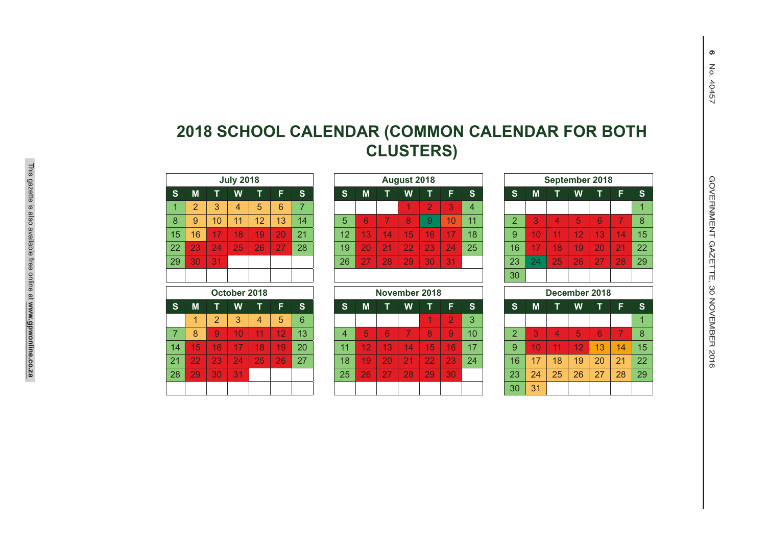|                |                |                | <b>July 2018</b> |    |    |                |
|----------------|----------------|----------------|------------------|----|----|----------------|
| S              | M              | T              | W                | T  | F  | $\mathbf{s}$   |
| $\overline{1}$ | $\overline{2}$ | 3              | 4                | 5  | 6  | $\overline{7}$ |
| 8              | 9              | 10             | 11               | 12 | 13 | 14             |
| 15             | 16             | 17             | 18               | 19 | 20 | 21             |
| 22             | 23             | 24             | 25               | 26 | 27 | 28             |
| 29             | 30             | 31             |                  |    |    |                |
|                |                |                |                  |    |    |                |
|                |                |                |                  |    |    |                |
|                |                |                | October 2018     |    |    |                |
| $\mathbf{s}$   | M              | т              | W                | т  | F  | $\mathbf{s}$   |
|                | 1              | $\overline{2}$ | 3                | 4  | 5  | 6              |
| $\overline{7}$ | 8              | 9              | 10               | 11 | 12 | 13             |
| 14             | 15             | 16             | 17               | 18 | 19 | 20             |
| 21             | 22             | 23             | 24               | 25 | 26 | 27             |
| 28             | 29             | 30             | 31               |    |    |                |

|                |                |    | <b>July 2018</b> |    |    |    |                 |    |    | August 2018     |                |    |
|----------------|----------------|----|------------------|----|----|----|-----------------|----|----|-----------------|----------------|----|
|                | M              |    | W                |    | F  | S  | S               | M  |    | W               |                | F  |
|                | $\overline{2}$ | 3  | 4                | 5  | 6  |    |                 |    |    | 4               | $\overline{2}$ | 3  |
|                | 9              | 10 | 11               | 12 | 13 | 14 | 5               | 6  |    | 8               | 9              | 10 |
| 5              | 16             | 17 | 18               | 19 | 20 | 21 | 12 <sup>°</sup> | 13 | 14 | 15              | 16             | 17 |
| $\overline{2}$ | 23             | 24 | 25               | 26 | 27 | 28 | 19              | 20 | 21 | $\overline{22}$ | 23             | 24 |
| 9              | 30             | 31 |                  |    |    |    | 26              | D. | 28 | 29              | 30             | 31 |
|                |                |    |                  |    |    |    |                 |    |    |                 |                |    |

|              |    |     |    | October 2018 |                 |     |          |                 |    | November 2018 |    |                |          |               |    |    |    | December 2018 |    |     |
|--------------|----|-----|----|--------------|-----------------|-----|----------|-----------------|----|---------------|----|----------------|----------|---------------|----|----|----|---------------|----|-----|
|              | M  | Т   | W  |              | F               | 'S. | <b>S</b> | M               |    | W             |    | F              | <b>S</b> | S             | M  |    | W  |               | E  | 'S. |
|              | 1  | 2   | 3  | 4            | $5\overline{)}$ | 6   |          |                 |    |               | и  |                | 3        |               |    |    |    |               |    | 1   |
|              | 8  | 9   | 10 |              | 12              | 13  | 4        | 5               | 6  |               | 8  | $\overline{9}$ | 10       | $\mathcal{D}$ | 3  | 4  | 5  | 6             |    | 8   |
| 4            | 15 | 16' | 17 | 18           | 19              | 20  | 11       | 12              | 13 | ٦4            | 15 | 16             | 17       | 9             | 10 | 11 | 12 | 13            | 14 | 15  |
| $\mathbf{1}$ | 22 | 23  | 24 | 25           | 26              | 27  | 18       | 19              | 20 | 21            | 22 | 23             | 24       | 16            | 17 | 18 | 19 | 20            | 21 | 22  |
| 8            | 29 | 30  | 31 |              |                 |     | 25       | 26 <sup>1</sup> | 27 | 28            | 29 | 30             |          | 23            | 24 | 25 | 26 | 27            | 28 | 29  |
|              |    |     |    |              |                 |     |          |                 |    |               |    |                |          | 30            | 31 |    |    |               |    |     |

|                |    |                | <b>July 2018</b> |    |    |                |                |    |    | August 2018    |               |                |                 |                |    | September 2018           |    |    |    |    |
|----------------|----|----------------|------------------|----|----|----------------|----------------|----|----|----------------|---------------|----------------|-----------------|----------------|----|--------------------------|----|----|----|----|
|                | M  |                | W                | т  | F  | <sub>S</sub>   | <sub>S</sub>   | M  |    | W              |               | F.             | S               | <sub>S</sub>   | M  |                          | W  |    | F. | S  |
|                | 2  | 3              | 4                | 5  | 6  | $\overline{7}$ |                |    |    | 1              | 2             | 3              | $\overline{4}$  |                |    |                          |    |    |    |    |
|                | 9  | 10             | 11               | 12 | 13 | 14             | 5              | 6  | 7  | 8              | 9             | 10             | 11              | $\overline{2}$ | 3  | $\overline{4}$           | 5  | 6  | 7  | 8  |
| 5              | 16 | 17             | 18               | 19 | 20 | 21             | 12             | 13 | 14 | 15             | 16            | 17             | 18              | 9              | 10 | 11                       | 12 | 13 | 14 | 15 |
| $\overline{2}$ | 23 | 24             | 25               | 26 | 27 | 28             | 19             | 20 | 21 | 22             | 23            | 24             | 25              | 16             | 17 | 18                       | 19 | 20 | 21 | 22 |
| 9              | 30 | 31             |                  |    |    |                | 26             | 27 | 28 | 29             | 30            | 31             |                 | 23             | 24 | 25                       | 26 | 27 | 28 | 29 |
|                |    |                |                  |    |    |                |                |    |    |                |               |                |                 | 30             |    |                          |    |    |    |    |
|                |    |                | October 2018     |    |    |                |                |    |    |                | November 2018 |                |                 |                |    | December 2018            |    |    |    |    |
|                | M  |                | W                | т  | F  | S.             | <sub>S</sub>   | M  | т  | W              | т             | F              | S.              | S.             | M  |                          | W  | т  | F. | S. |
|                | 1  | $\overline{2}$ | 3                | 4  | 5  | 6              |                |    |    |                |               | $\overline{2}$ | 3               |                |    |                          |    |    |    |    |
|                | 8  | 9              | 10 <sup>1</sup>  | 11 | 12 | 13             | $\overline{4}$ | 5  | 6  | $\overline{7}$ | 8             | 9              | 10 <sup>1</sup> | $\overline{2}$ | 3  | $\overline{\mathcal{A}}$ | 5  | 6  |    | 8  |
| 4              | 15 | 16             | 17               | 18 | 19 | 20             | 11             | 12 | 13 | 14             | 15            | 16             | 17              | 9              | 10 | 11                       | 12 | 13 | 14 | 15 |
|                | 22 | 23             | 24               | 25 | 26 | 27             | 18             | 19 | 20 | 21             | 22            | 23             | 24              | 16             | 17 | 18                       | 19 | 20 | 21 | 22 |
| 8              | 29 | 30             | 31               |    |    |                | 25             | 26 | 27 | 28             | 29            | 30             |                 | 23             | 24 | 25                       | 26 | 27 | 28 | 29 |
|                |    |                |                  |    |    |                |                |    |    |                |               |                |                 | 30             | 31 |                          |    |    |    |    |